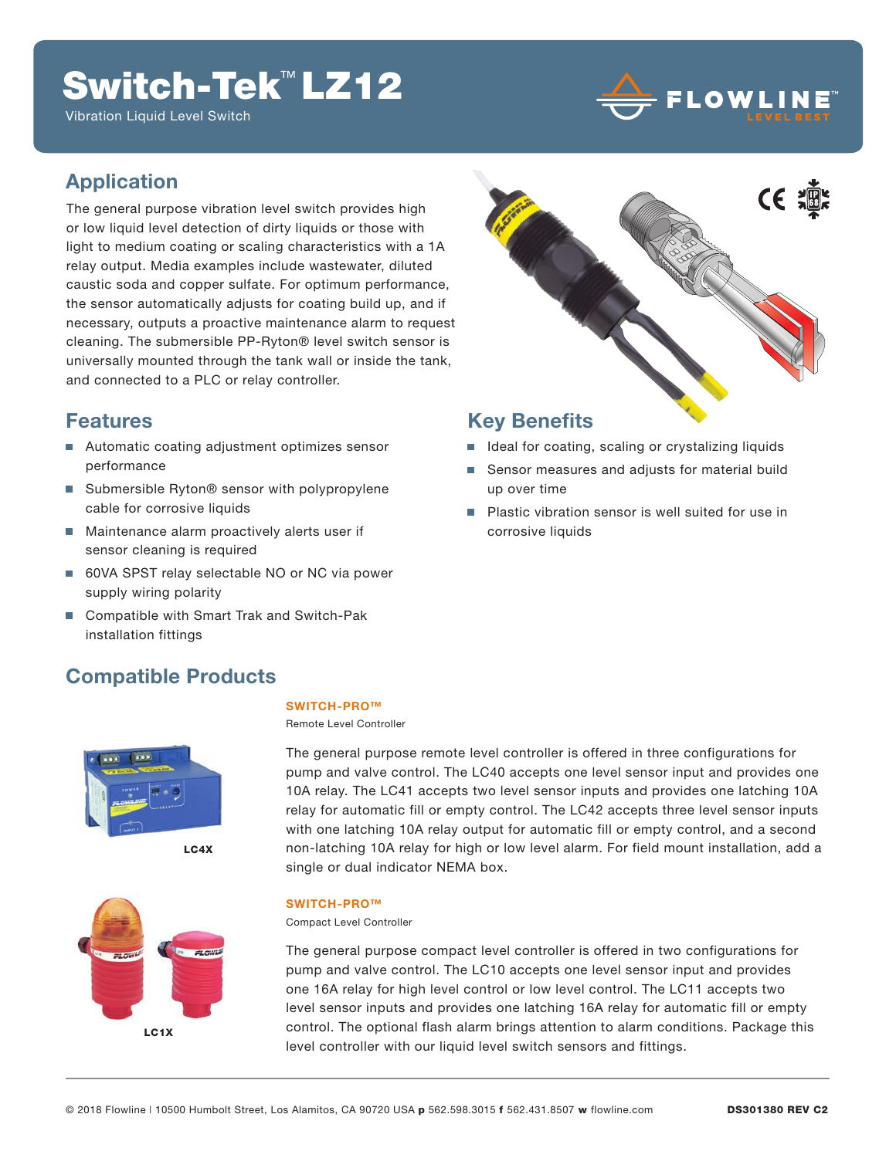## Switch-Tek™ LZ12

Vibration Liquid Level Switch



### **Application**

The general purpose vibration level switch provides high or low liquid level detection of dirty liquids or those with light to medium coating or scaling characteristics with a 1A relay output. Media examples include wastewater, diluted caustic soda and copper sulfate. For optimum performance, the sensor automatically adjusts for coating build up, and if necessary, outputs a proactive maintenance alarm to request cleaning. The submersible PP-Ryton® level switch sensor is universally mounted through the tank wall or inside the tank, and connected to a PLC or relay controller.

### **Features**

- Automatic coating adjustment optimizes sensor performance
- Submersible Ryton<sup>®</sup> sensor with polypropylene cable for corrosive liquids
- **Maintenance alarm proactively alerts user if** sensor cleaning is required
- 60VA SPST relay selectable NO or NC via power supply wiring polarity
- Compatible with Smart Trak and Switch-Pak installation fittings

### **Compatible Products**



LC4X



#### **SWITCH-PRO™**

Remote Level Controller

The general purpose remote level controller is offered in three configurations for pump and valve control. The LC40 accepts one level sensor input and provides one 10A relay. The LC41 accepts two level sensor inputs and provides one latching 10A relay for automatic fill or empty control. The LC42 accepts three level sensor inputs with one latching 10A relay output for automatic fill or empty control, and a second non-latching 10A relay for high or low level alarm. For field mount installation, add a single or dual indicator NEMA box.

#### **SWITCH-PRO™**

Compact Level Controller

The general purpose compact level controller is offered in two configurations for pump and valve control. The LC10 accepts one level sensor input and provides one 16A relay for high level control or low level control. The LC11 accepts two level sensor inputs and provides one latching 16A relay for automatic fill or empty control. The optional flash alarm brings attention to alarm conditions. Package this level controller with our liquid level switch sensors and fittings.



### **Key Benefits**

- Ideal for coating, scaling or crystalizing liquids
- Sensor measures and adjusts for material build up over time
- **Plastic vibration sensor is well suited for use in** corrosive liquids